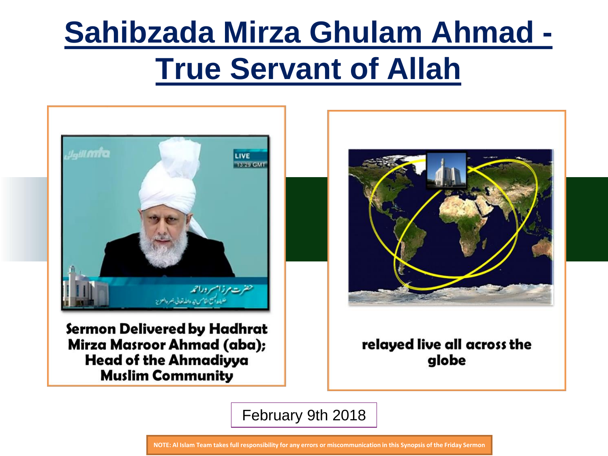

Sermon Delivered by Hadhrat Mirza Masroor Ahmad (aba); **Head of the Ahmadiyya Muslim Community** 



relayed live all across the globe

February 9th 2018

**NOTE: Al Islam Team takes full responsibility for any errors or miscommunication in this Synopsis of the Friday Sermon**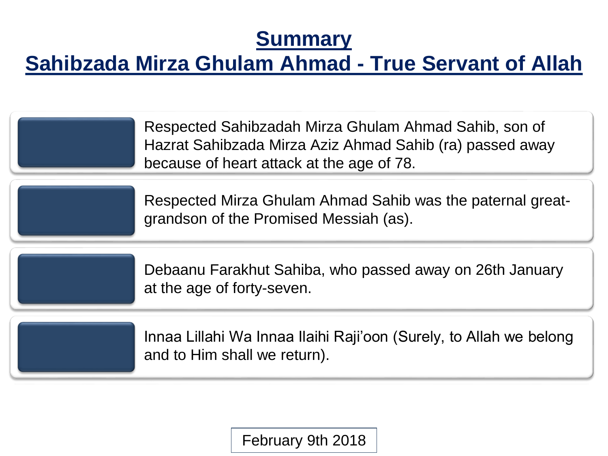## **Summary**

## **Sahibzada Mirza Ghulam Ahmad - True Servant of Allah**

Respected Sahibzadah Mirza Ghulam Ahmad Sahib, son of Hazrat Sahibzada Mirza Aziz Ahmad Sahib (ra) passed away because of heart attack at the age of 78.

Respected Mirza Ghulam Ahmad Sahib was the paternal greatgrandson of the Promised Messiah (as).

Debaanu Farakhut Sahiba, who passed away on 26th January at the age of forty-seven.

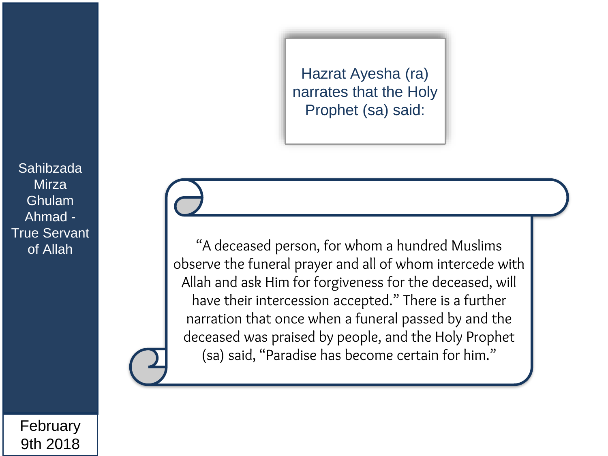Hazrat Ayesha (ra) narrates that the Holy Prophet (sa) said:

"A deceased person, for whom a hundred Muslims observe the funeral prayer and all of whom intercede with Allah and ask Him for forgiveness for the deceased, will have their intercession accepted." There is a further narration that once when a funeral passed by and the deceased was praised by people, and the Holy Prophet (sa) said, "Paradise has become certain for him."

Sahibzada **Mirza** Ghulam Ahmad - True Servant of Allah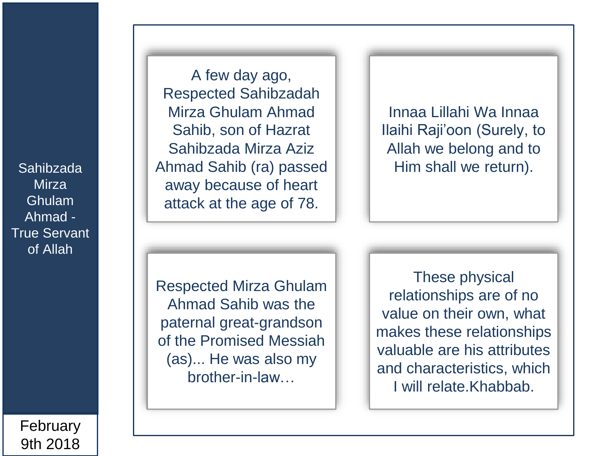**Mirza** Ghulam Ahmad - True Servant of Allah

A few day ago, Respected Sahibzadah Mirza Ghulam Ahmad Sahib, son of Hazrat Sahibzada Mirza Aziz Sahibzada | Ahmad Sahib (ra) passed | Him shall we return). away because of heart attack at the age of 78.

Innaa Lillahi Wa Innaa Ilaihi Raji'oon (Surely, to Allah we belong and to

Respected Mirza Ghulam Ahmad Sahib was the paternal great-grandson of the Promised Messiah (as)... He was also my brother-in-law…

These physical relationships are of no value on their own, what makes these relationships valuable are his attributes and characteristics, which I will relate.Khabbab.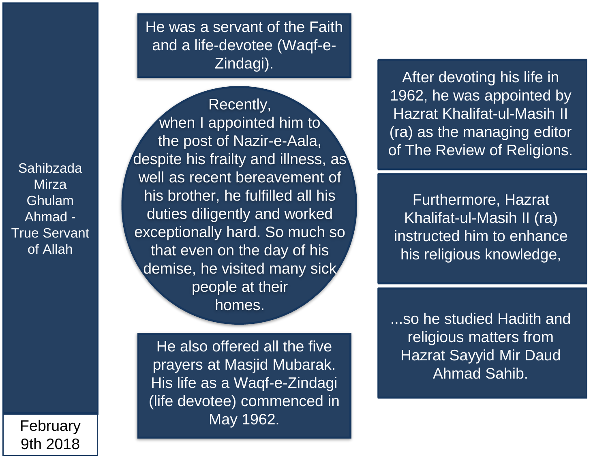February 9th 2018 He was a servant of the Faith and a life-devotee (Waqf-e-Zindagi).

Recently, when I appointed him to the post of Nazir-e-Aala, despite his frailty and illness, as well as recent bereavement of his brother, he fulfilled all his duties diligently and worked exceptionally hard. So much so that even on the day of his demise, he visited many sick people at their homes.

He also offered all the five prayers at Masjid Mubarak. His life as a Waqf-e-Zindagi (life devotee) commenced in May 1962.

After devoting his life in 1962, he was appointed by Hazrat Khalifat-ul-Masih II (ra) as the managing editor of The Review of Religions.

Furthermore, Hazrat Khalifat-ul-Masih II (ra) instructed him to enhance his religious knowledge,

...so he studied Hadith and religious matters from Hazrat Sayyid Mir Daud Ahmad Sahib.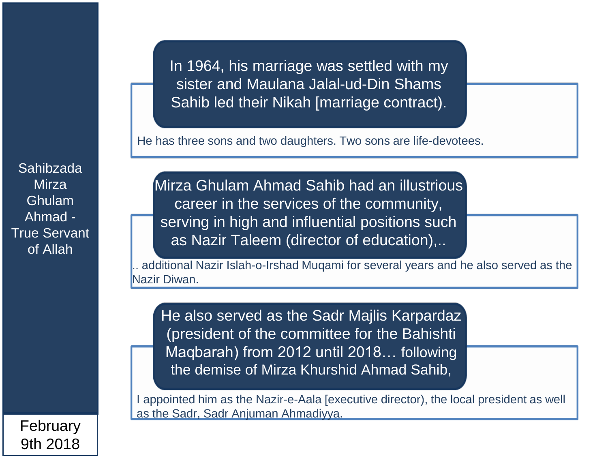In 1964, his marriage was settled with my sister and Maulana Jalal-ud-Din Shams Sahib led their Nikah [marriage contract).

He has three sons and two daughters. Two sons are life-devotees.

Sahibzada **Mirza** Ghulam Ahmad - True Servant of Allah

Mirza Ghulam Ahmad Sahib had an illustrious career in the services of the community, serving in high and influential positions such as Nazir Taleem (director of education),..

additional Nazir Islah-o-Irshad Mugami for several years and he also served as the Nazir Diwan.

He also served as the Sadr Majlis Karpardaz (president of the committee for the Bahishti Maqbarah) from 2012 until 2018… following the demise of Mirza Khurshid Ahmad Sahib,

I appointed him as the Nazir-e-Aala [executive director), the local president as well as the Sadr, Sadr Anjuman Ahmadiyya.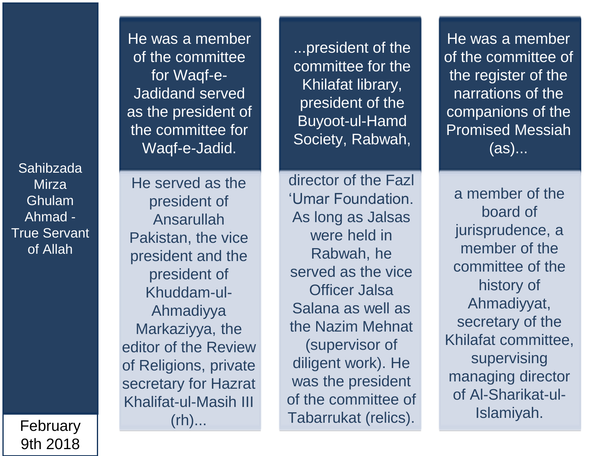> February 9th 2018

He was a member of the committee for Waqf-e-Jadidand served as the president of the committee for Waqf-e-Jadid.

He served as the president of Ansarullah Pakistan, the vice president and the president of Khuddam-ul-Ahmadiyya Markaziyya, the editor of the Review of Religions, private secretary for Hazrat Khalifat-ul-Masih III  $(rh)$ ...

...president of the committee for the Khilafat library, president of the Buyoot-ul-Hamd Society, Rabwah,

director of the Fazl 'Umar Foundation. As long as Jalsas were held in Rabwah, he served as the vice Officer Jalsa Salana as well as the Nazim Mehnat (supervisor of diligent work). He was the president of the committee of Tabarrukat (relics).

He was a member of the committee of the register of the narrations of the companions of the Promised Messiah (as)...

a member of the board of jurisprudence, a member of the committee of the history of Ahmadiyyat, secretary of the Khilafat committee, supervising managing director of Al-Sharikat-ul-Islamiyah.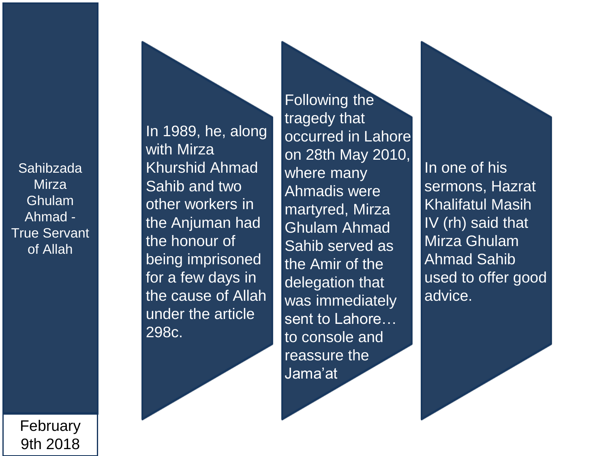In 1989, he, along with Mirza Khurshid Ahmad Sahib and two other workers in the Anjuman had the honour of being imprisoned for a few days in the cause of Allah under the article 298c.

Following the tragedy that occurred in Lahore on 28th May 2010, where many Ahmadis were martyred, Mirza Ghulam Ahmad Sahib served as the Amir of the delegation that was immediately sent to Lahore… to console and reassure the Jama'at

In one of his sermons, Hazrat Khalifatul Masih IV (rh) said that Mirza Ghulam Ahmad Sahib used to offer good advice.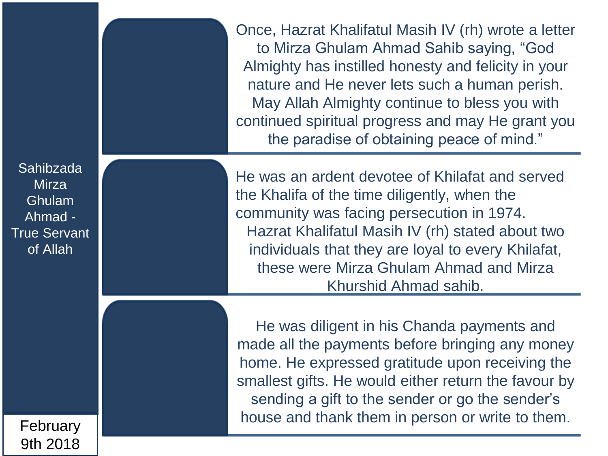Once, Hazrat Khalifatul Masih IV (rh) wrote a letter to Mirza Ghulam Ahmad Sahib saying, "God Almighty has instilled honesty and felicity in your nature and He never lets such a human perish. May Allah Almighty continue to bless you with continued spiritual progress and may He grant you the paradise of obtaining peace of mind."

He was an ardent devotee of Khilafat and served the Khalifa of the time diligently, when the community was facing persecution in 1974. Hazrat Khalifatul Masih IV (rh) stated about two individuals that they are loyal to every Khilafat, these were Mirza Ghulam Ahmad and Mirza Khurshid Ahmad sahib.

He was diligent in his Chanda payments and made all the payments before bringing any money home. He expressed gratitude upon receiving the smallest gifts. He would either return the favour by sending a gift to the sender or go the sender's house and thank them in person or write to them.

Sahibzada **Mirza** Ghulam Ahmad - True Servant of Allah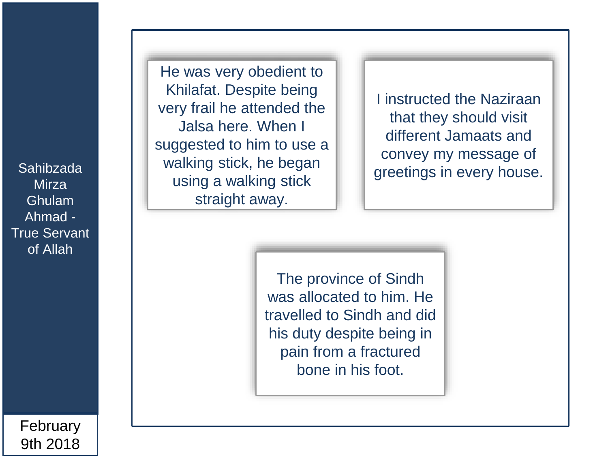**Mirza** Ghulam Ahmad - True Servant of Allah

He was very obedient to Khilafat. Despite being very frail he attended the Jalsa here. When I suggested to him to use a walking stick, he began using a walking stick straight away. Sahibzada | | | Walking Suck, ne began | | | greetings in every house.

I instructed the Naziraan that they should visit different Jamaats and convey my message of

The province of Sindh was allocated to him. He travelled to Sindh and did his duty despite being in pain from a fractured bone in his foot.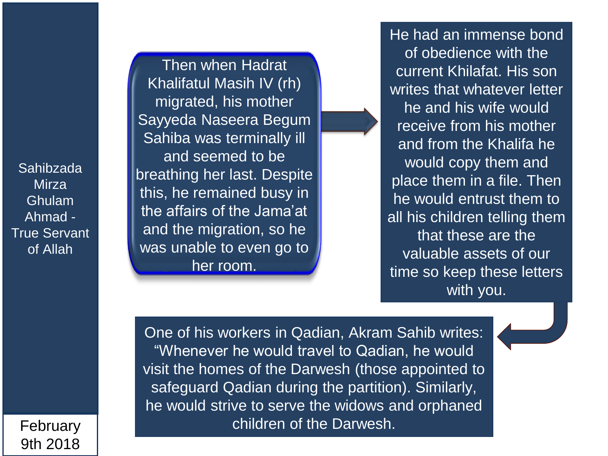Then when Hadrat Khalifatul Masih IV (rh) migrated, his mother Sayyeda Naseera Begum Sahiba was terminally ill and seemed to be breathing her last. Despite this, he remained busy in the affairs of the Jama'at and the migration, so he was unable to even go to her room.

He had an immense bond of obedience with the current Khilafat. His son writes that whatever letter he and his wife would receive from his mother and from the Khalifa he would copy them and place them in a file. Then he would entrust them to all his children telling them that these are the valuable assets of our time so keep these letters with you.

One of his workers in Qadian, Akram Sahib writes: "Whenever he would travel to Qadian, he would visit the homes of the Darwesh (those appointed to safeguard Qadian during the partition). Similarly, he would strive to serve the widows and orphaned children of the Darwesh.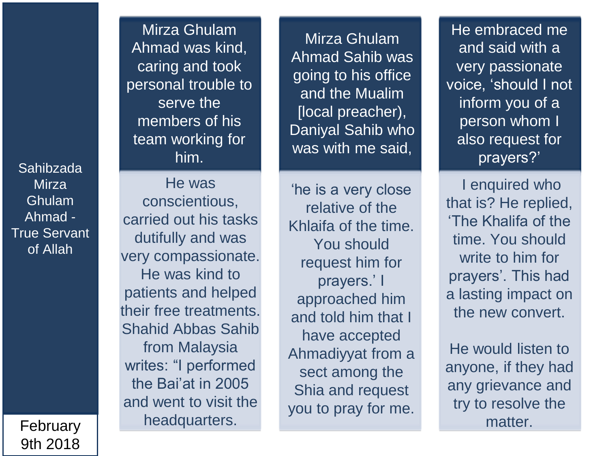> February 9th 2018

Mirza Ghulam Ahmad was kind, caring and took personal trouble to serve the members of his team working for him.

He was conscientious, carried out his tasks dutifully and was very compassionate. He was kind to patients and helped their free treatments. Shahid Abbas Sahib from Malaysia writes: "I performed the Bai'at in 2005 and went to visit the headquarters.

Mirza Ghulam Ahmad Sahib was going to his office and the Mualim [local preacher), Daniyal Sahib who was with me said,

'he is a very close relative of the Khlaifa of the time. You should request him for prayers.' I approached him and told him that I have accepted Ahmadiyyat from a sect among the Shia and request you to pray for me.

He embraced me and said with a very passionate voice, 'should I not inform you of a person whom I also request for prayers?'

I enquired who that is? He replied, 'The Khalifa of the time. You should write to him for prayers'. This had a lasting impact on the new convert.

He would listen to anyone, if they had any grievance and try to resolve the matter.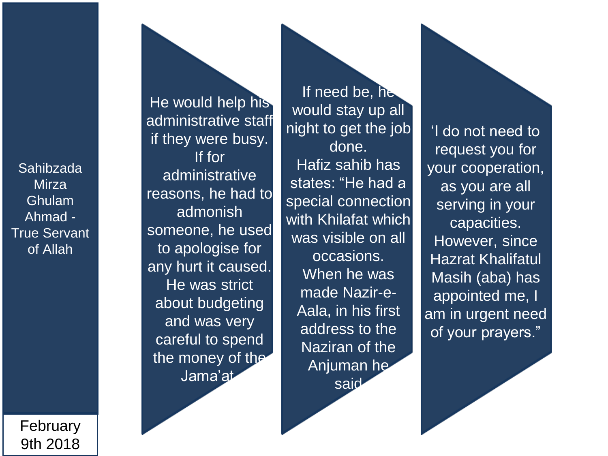> February 9th 2018

He would help his administrative staff if they were busy. If for administrative reasons, he had to admonish someone, he used to apologise for any hurt it caused. He was strict about budgeting and was very careful to spend the money of the Jama'at.

If need be, he would stay up all night to get the job done. Hafiz sahib has states: "He had a special connection with Khilafat which was visible on all occasions. When he was made Nazir-e-Aala, in his first address to the Naziran of the Anjuman he said

'I do not need to request you for your cooperation, as you are all serving in your capacities. However, since Hazrat Khalifatul Masih (aba) has appointed me, I am in urgent need of your prayers."